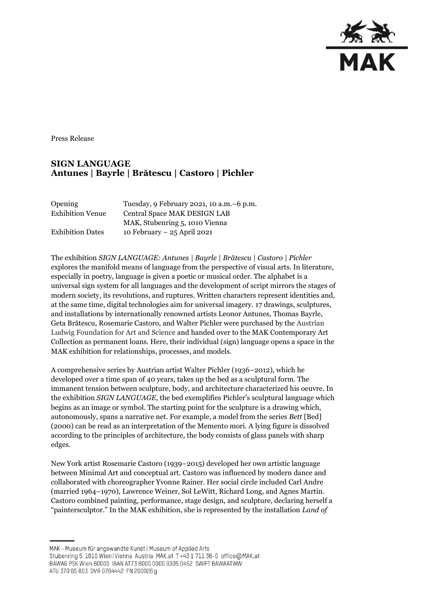

Press Release

## **SIGN LANGUAGE Antunes | Bayrle | Brătescu | Castoro | Pichler**

| Opening<br><b>Exhibition Venue</b> | Tuesday, 9 February 2021, 10 a.m. -6 p.m.<br>Central Space MAK DESIGN LAB |
|------------------------------------|---------------------------------------------------------------------------|
|                                    | MAK, Stubenring 5, 1010 Vienna                                            |
| <b>Exhibition Dates</b>            | 10 February $-25$ April 2021                                              |

The exhibition *SIGN LANGUAGE: Antunes | Bayrle | Brătescu | Castoro | Pichler* explores the manifold means of language from the perspective of visual arts. In literature, especially in poetry, language is given a poetic or musical order. The alphabet is a universal sign system for all languages and the development of script mirrors the stages of modern society, its revolutions, and ruptures. Written characters represent identities and, at the same time, digital technologies aim for universal imagery. 17 drawings, sculptures, and installations by internationally renowned artists Leonor Antunes, Thomas Bayrle, Geta Brătescu, Rosemarie Castoro, and Walter Pichler were purchased by the Austrian Ludwig Foundation for Art and Science and handed over to the MAK Contemporary Art Collection as permanent loans. Here, their individual (sign) language opens a space in the MAK exhibition for relationships, processes, and models.

A comprehensive series by Austrian artist Walter Pichler (1936–2012), which he developed over a time span of 40 years, takes up the bed as a sculptural form. The immanent tension between sculpture, body, and architecture characterized his oeuvre. In the exhibition *SIGN LANGUAGE*, the bed exemplifies Pichler's sculptural language which begins as an image or symbol. The starting point for the sculpture is a drawing which, autonomously, spans a narrative net. For example, a model from the series *Bett* [Bed] (2000) can be read as an interpretation of the Memento mori. A lying figure is dissolved according to the principles of architecture, the body consists of glass panels with sharp edges.

New York artist Rosemarie Castoro (1939–2015) developed her own artistic language between Minimal Art and conceptual art. Castoro was influenced by modern dance and collaborated with choreographer Yvonne Rainer. Her social circle included Carl Andre (married 1964–1970), Lawrence Weiner, Sol LeWitt, Richard Long, and Agnes Martin. Castoro combined painting, performance, stage design, and sculpture, declaring herself a "paintersculptor." In the MAK exhibition, she is represented by the installation *Land of* 

MAK - Museum für angewandte Kunst | Museum of Applied Arts

ATU 370 65 803 DVR 0764442 FN 200026 g

Stubenring 5 1010 Wien | Vienna Austria MAK.at T+43 1 711 36-0 office@MAK.at

BAWAG PSK Wien 60000 IBAN AT73 6000 0000 9305 0452 SWIFT BAWAATWW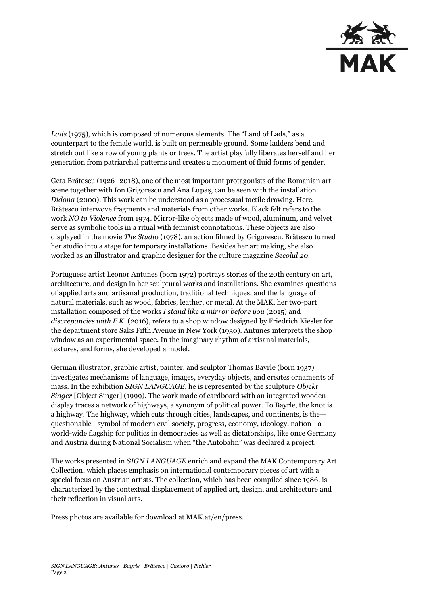

*Lads* (1975), which is composed of numerous elements. The "Land of Lads," as a counterpart to the female world, is built on permeable ground. Some ladders bend and stretch out like a row of young plants or trees. The artist playfully liberates herself and her generation from patriarchal patterns and creates a monument of fluid forms of gender.

Geta Brătescu (1926–2018), one of the most important protagonists of the Romanian art scene together with Ion Grigorescu and Ana Lupaș, can be seen with the installation *Didona* (2000). This work can be understood as a processual tactile drawing. Here, Brătescu interwove fragments and materials from other works. Black felt refers to the work *NO to Violence* from 1974. Mirror-like objects made of wood, aluminum, and velvet serve as symbolic tools in a ritual with feminist connotations. These objects are also displayed in the movie *The Studio* (1978), an action filmed by Grigorescu. Brătescu turned her studio into a stage for temporary installations. Besides her art making, she also worked as an illustrator and graphic designer for the culture magazine *Secolul 20*.

Portuguese artist Leonor Antunes (born 1972) portrays stories of the 20th century on art, architecture, and design in her sculptural works and installations. She examines questions of applied arts and artisanal production, traditional techniques, and the language of natural materials, such as wood, fabrics, leather, or metal. At the MAK, her two-part installation composed of the works *I stand like a mirror before you* (2015) and *discrepancies with F.K.* (2016), refers to a shop window designed by Friedrich Kiesler for the department store Saks Fifth Avenue in New York (1930). Antunes interprets the shop window as an experimental space. In the imaginary rhythm of artisanal materials, textures, and forms, she developed a model.

German illustrator, graphic artist, painter, and sculptor Thomas Bayrle (born 1937) investigates mechanisms of language, images, everyday objects, and creates ornaments of mass. In the exhibition *SIGN LANGUAGE*, he is represented by the sculpture *Objekt Singer* [Object Singer] (1999). The work made of cardboard with an integrated wooden display traces a network of highways, a synonym of political power. To Bayrle, the knot is a highway. The highway, which cuts through cities, landscapes, and continents, is the questionable—symbol of modern civil society, progress, economy, ideology, nation—a world-wide flagship for politics in democracies as well as dictatorships, like once Germany and Austria during National Socialism when "the Autobahn" was declared a project.

The works presented in *SIGN LANGUAGE* enrich and expand the MAK Contemporary Art Collection, which places emphasis on international contemporary pieces of art with a special focus on Austrian artists. The collection, which has been compiled since 1986, is characterized by the contextual displacement of applied art, design, and architecture and their reflection in visual arts.

Press photos are available for download at MAK.at/en/press.